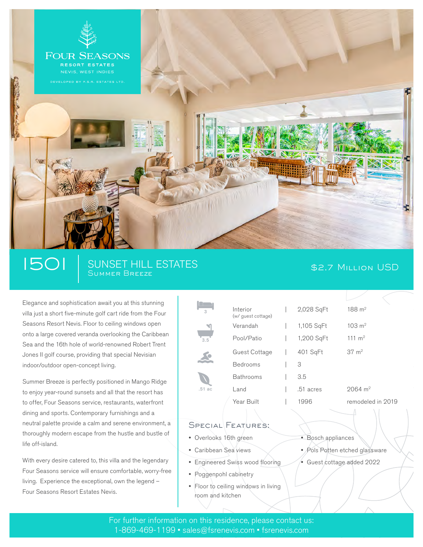

# 1501 SUNSET HILL ESTATES \$2.7 Million USD

Elegance and sophistication await you at this stunning villa just a short five-minute golf cart ride from the Four Seasons Resort Nevis. Floor to ceiling windows open onto a large covered veranda overlooking the Caribbean Sea and the 16th hole of world-renowned Robert Trent Jones II golf course, providing that special Nevisian indoor/outdoor open-concept living.

Summer Breeze is perfectly positioned in Mango Ridge to enjoy year-round sunsets and all that the resort has to offer, Four Seasons service, restaurants, waterfront dining and sports. Contemporary furnishings and a neutral palette provide a calm and serene environment, a thoroughly modern escape from the hustle and bustle of life off-island.

With every desire catered to, this villa and the legendary Four Seasons service will ensure comfortable, worry-free living. Experience the exceptional, own the legend – Four Seasons Resort Estates Nevis.

| Interior<br>(w/ guest cottage) | 2,028 SqFt | $188 \; \mathrm{m}^2$  |
|--------------------------------|------------|------------------------|
| Verandah                       | 1,105 SqFt | $103 \; \mathrm{m}^2$  |
| Pool/Patio                     | 1,200 SqFt | 111 $m2$               |
| Guest Cottage                  | 401 SqFt   | $37 \; \mathrm{m}^2$   |
| <b>Bedrooms</b>                | 3          |                        |
| <b>Bathrooms</b>               | 3.5        |                        |
| Land                           | .51 acres  | $2064 \; \mathrm{m}^2$ |
| Year Built                     | 1996       | remodeled in 2019      |
|                                |            |                        |

## SPECIAL FEATURES:

Overlooks 16th green

3

3.5

.51 ac

- Caribbean Sea views
- Engineered Swiss wood flooring
- Poggenpohl cabinetry
- Floor to ceiling windows in living room and kitchen
- Bosch appliances
- Pols Potten etched glassware
- Guest cottage added 2022

For further information on this residence, please contact us: 1-869-469-1199 • sales@fsrenevis.com • fsrenevis.com